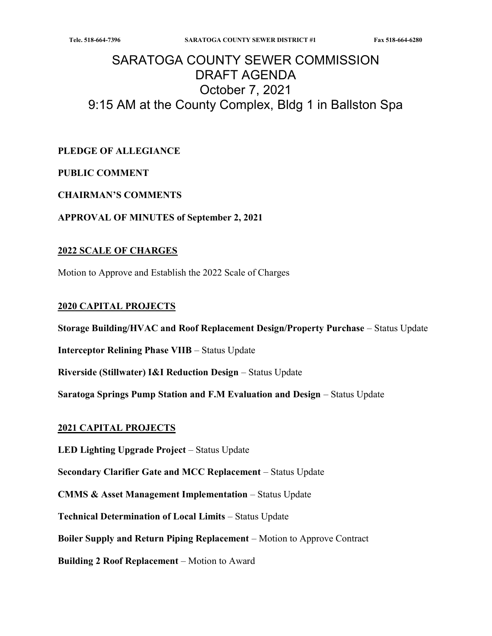# SARATOGA COUNTY SEWER COMMISSION DRAFT AGENDA October 7, 2021 9:15 AM at the County Complex, Bldg 1 in Ballston Spa

### PLEDGE OF ALLEGIANCE

#### PUBLIC COMMENT

#### CHAIRMAN'S COMMENTS

#### APPROVAL OF MINUTES of September 2, 2021

#### 2022 SCALE OF CHARGES

Motion to Approve and Establish the 2022 Scale of Charges

#### 2020 CAPITAL PROJECTS

Storage Building/HVAC and Roof Replacement Design/Property Purchase – Status Update

Interceptor Relining Phase VIIB – Status Update

Riverside (Stillwater) I&I Reduction Design – Status Update

Saratoga Springs Pump Station and F.M Evaluation and Design – Status Update

#### 2021 CAPITAL PROJECTS

LED Lighting Upgrade Project – Status Update

Secondary Clarifier Gate and MCC Replacement – Status Update

CMMS & Asset Management Implementation – Status Update

Technical Determination of Local Limits – Status Update

Boiler Supply and Return Piping Replacement – Motion to Approve Contract

Building 2 Roof Replacement – Motion to Award